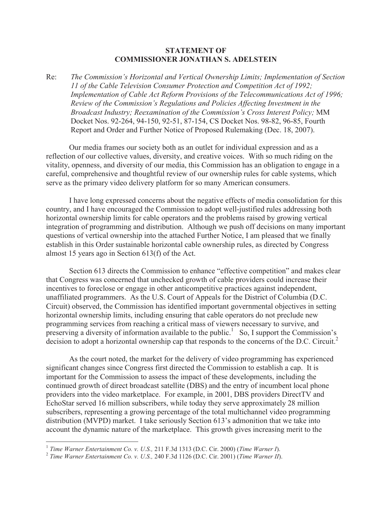## **STATEMENT OF COMMISSIONER JONATHAN S. ADELSTEIN**

Re: *The Commission's Horizontal and Vertical Ownership Limits; Implementation of Section 11 of the Cable Television Consumer Protection and Competition Act of 1992; Implementation of Cable Act Reform Provisions of the Telecommunications Act of 1996; Review of the Commission's Regulations and Policies Affecting Investment in the Broadcast Industry; Reexamination of the Commission's Cross Interest Policy;* MM Docket Nos. 92-264, 94-150, 92-51, 87-154, CS Docket Nos. 98-82, 96-85, Fourth Report and Order and Further Notice of Proposed Rulemaking (Dec. 18, 2007).

Our media frames our society both as an outlet for individual expression and as a reflection of our collective values, diversity, and creative voices. With so much riding on the vitality, openness, and diversity of our media, this Commission has an obligation to engage in a careful, comprehensive and thoughtful review of our ownership rules for cable systems, which serve as the primary video delivery platform for so many American consumers.

I have long expressed concerns about the negative effects of media consolidation for this country, and I have encouraged the Commission to adopt well-justified rules addressing both horizontal ownership limits for cable operators and the problems raised by growing vertical integration of programming and distribution. Although we push off decisions on many important questions of vertical ownership into the attached Further Notice, I am pleased that we finally establish in this Order sustainable horizontal cable ownership rules, as directed by Congress almost 15 years ago in Section 613(f) of the Act.

Section 613 directs the Commission to enhance "effective competition" and makes clear that Congress was concerned that unchecked growth of cable providers could increase their incentives to foreclose or engage in other anticompetitive practices against independent, unaffiliated programmers. As the U.S. Court of Appeals for the District of Columbia (D.C. Circuit) observed, the Commission has identified important governmental objectives in setting horizontal ownership limits, including ensuring that cable operators do not preclude new programming services from reaching a critical mass of viewers necessary to survive, and preserving a diversity of information available to the public.<sup>1</sup> So, I support the Commission's decision to adopt a horizontal ownership cap that responds to the concerns of the D.C. Circuit.<sup>2</sup>

As the court noted, the market for the delivery of video programming has experienced significant changes since Congress first directed the Commission to establish a cap. It is important for the Commission to assess the impact of these developments, including the continued growth of direct broadcast satellite (DBS) and the entry of incumbent local phone providers into the video marketplace. For example, in 2001, DBS providers DirectTV and EchoStar served 16 million subscribers, while today they serve approximately 28 million subscribers, representing a growing percentage of the total multichannel video programming distribution (MVPD) market. I take seriously Section 613's admonition that we take into account the dynamic nature of the marketplace. This growth gives increasing merit to the

<sup>1</sup> *Time Warner Entertainment Co. v. U.S.,* 211 F.3d 1313 (D.C. Cir. 2000) (*Time Warner I*).

<sup>2</sup> *Time Warner Entertainment Co. v. U.S.,* 240 F.3d 1126 (D.C. Cir. 2001) (*Time Warner II*).